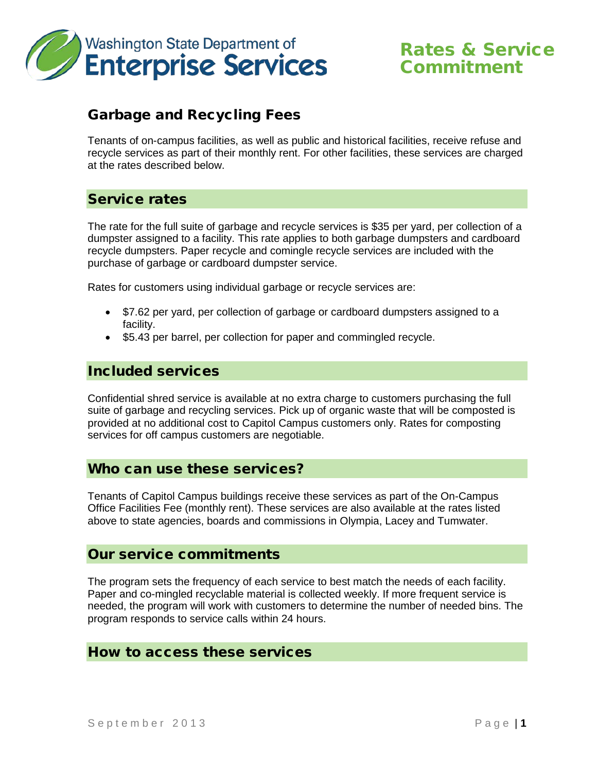

# Rates & Service Commitment

# Garbage and Recycling Fees

Tenants of on-campus facilities, as well as public and historical facilities, receive refuse and recycle services as part of their monthly rent. For other facilities, these services are charged at the rates described below.

#### Service rates

The rate for the full suite of garbage and recycle services is \$35 per yard, per collection of a dumpster assigned to a facility. This rate applies to both garbage dumpsters and cardboard recycle dumpsters. Paper recycle and comingle recycle services are included with the purchase of garbage or cardboard dumpster service.

Rates for customers using individual garbage or recycle services are:

- \$7.62 per yard, per collection of garbage or cardboard dumpsters assigned to a facility.
- \$5.43 per barrel, per collection for paper and commingled recycle.

## Included services

Confidential shred service is available at no extra charge to customers purchasing the full suite of garbage and recycling services. Pick up of organic waste that will be composted is provided at no additional cost to Capitol Campus customers only. Rates for composting services for off campus customers are negotiable.

#### Who can use these services?

Tenants of Capitol Campus buildings receive these services as part of the On-Campus Office Facilities Fee (monthly rent). These services are also available at the rates listed above to state agencies, boards and commissions in Olympia, Lacey and Tumwater.

#### Our service commitments

The program sets the frequency of each service to best match the needs of each facility. Paper and co-mingled recyclable material is collected weekly. If more frequent service is needed, the program will work with customers to determine the number of needed bins. The program responds to service calls within 24 hours.

#### How to access these services